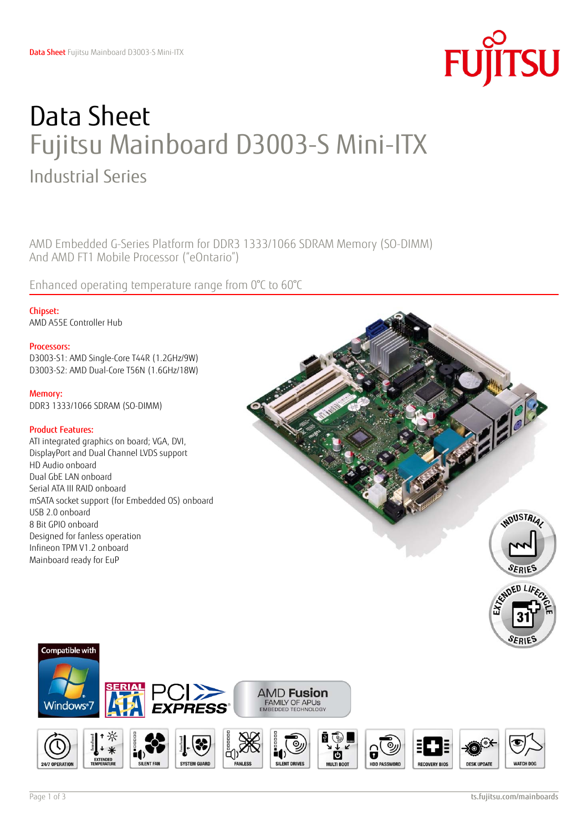

# Data Sheet Fujitsu Mainboard D3003-S Mini-ITX Industrial Series

AMD Embedded G-Series Platform for DDR3 1333/1066 SDRAM Memory (SO-DIMM) And AMD FT1 Mobile Processor ("eOntario")

Enhanced operating temperature range from 0°C to 60°C

Chipset: AMD A55E Controller Hub

### Processors:

D3003-S1: AMD Single-Core T44R (1.2GHz/9W) D3003-S2: AMD Dual-Core T56N (1.6GHz/18W)

Memory: DDR3 1333/1066 SDRAM (SO-DIMM)

## Product Features:

ATI integrated graphics on board; VGA, DVI, DisplayPort and Dual Channel LVDS support HD Audio onboard Dual GbE LAN onboard Serial ATA III RAID onboard mSATA socket support (for Embedded OS) onboard USB 2.0 onboard 8 Bit GPIO onboard Designed for fanless operation Infineon TPM V1.2 onboard Mainboard ready for EuP





Compatible with

**Windows**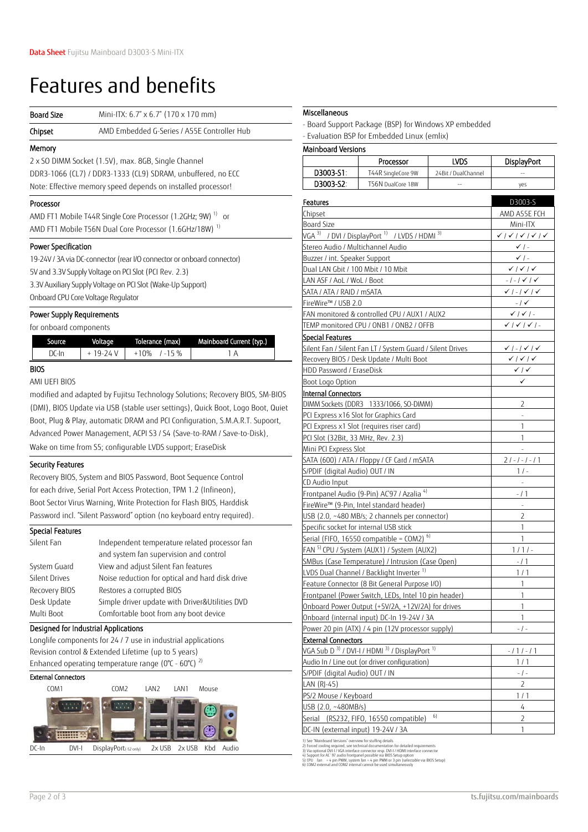# Features and benefits

| <b>Board Size</b>                                                      | Mini-ITX: 6.7" x 6.7" (170 x 170 mm)                                                   |  |  |  |
|------------------------------------------------------------------------|----------------------------------------------------------------------------------------|--|--|--|
| Chipset                                                                | AMD Embedded G-Series / A55E Controller Hub                                            |  |  |  |
| Memory                                                                 |                                                                                        |  |  |  |
|                                                                        | 2 x SO DIMM Socket (1.5V), max. 8GB, Single Channel                                    |  |  |  |
|                                                                        | DDR3-1066 (CL7) / DDR3-1333 (CL9) SDRAM, unbuffered, no ECC                            |  |  |  |
|                                                                        | Note: Effective memory speed depends on installed processor!                           |  |  |  |
| Processor                                                              |                                                                                        |  |  |  |
|                                                                        | AMD FT1 Mobile T44R Single Core Processor (1.2GHz; 9W) <sup>1)</sup><br>O <sub>1</sub> |  |  |  |
| AMD FT1 Mobile T56N Dual Core Processor (1.6GHz/18W) <sup>1)</sup>     |                                                                                        |  |  |  |
| Power Specification                                                    |                                                                                        |  |  |  |
| 19-24V / 3A via DC-connector (rear I/O connector or onboard connector) |                                                                                        |  |  |  |
| 5V and 3.3V Supply Voltage on PCI Slot (PCI Rev. 2.3)                  |                                                                                        |  |  |  |
| 3.3V Auxiliary Supply Voltage on PCI Slot (Wake-Up Support)            |                                                                                        |  |  |  |
| Onboard CPU Core Voltage Regulator                                     |                                                                                        |  |  |  |
| Power Supply Requirements                                              |                                                                                        |  |  |  |
|                                                                        | for onboard components                                                                 |  |  |  |

|       | Voltage   | Mainboard Current (typ.)<br>Tolerance (max) |  |
|-------|-----------|---------------------------------------------|--|
| DC-In | + 19-24 V | $+10\%$ /-15 %                              |  |

BIOS

AMI UEFI BIOS

modified and adapted by Fujitsu Technology Solutions; Recovery BIOS, SM-BIOS (DMI), BIOS Update via USB (stable user settings), Quick Boot, Logo Boot, Quiet Boot, Plug & Play, automatic DRAM and PCI Configuration, S.M.A.R.T. Supoort, Advanced Power Management, ACPI S3 / S4 (Save-to-RAM / Save-to-Disk), Wake on time from S5; configurable LVDS support; EraseDisk

### Security Features

Recovery BIOS, System and BIOS Password, Boot Sequence Control for each drive, Serial Port Access Protection, TPM 1.2 (Infineon), Boot Sector Virus Warning, Write Protection for Flash BIOS, Harddisk Password incl. "Silent Password" option (no keyboard entry required).

### Special Features

| Silent Fan           | Independent temperature related processor fan   |  |  |
|----------------------|-------------------------------------------------|--|--|
|                      | and system fan supervision and control          |  |  |
| System Guard         | View and adjust Silent Fan features             |  |  |
| <b>Silent Drives</b> | Noise reduction for optical and hard disk drive |  |  |
| Recovery BIOS        | Restores a corrupted BIOS                       |  |  |
| Desk Update          | Simple driver update with Driver&Utilities DVD  |  |  |
| Multi Boot           | Comfortable boot from any boot device           |  |  |

### Designed for Industrial Applications

Longlife components for 24 / 7 use in industrial applications Revision control & Extended Lifetime (up to 5 years) Enhanced operating temperature range ( $0^{\circ}$ C -  $60^{\circ}$ C)<sup>2)</sup>

### External Connectors



### **Miscellaneous**

- Board Support Package (BSP) for Windows XP embedded

- Evaluation BSP for Embedded Linux (emlix)

### Mainboard Versions

|                                                                                  | Processor                                                            | LVDS                | <b>DisplayPort</b>                             |  |  |
|----------------------------------------------------------------------------------|----------------------------------------------------------------------|---------------------|------------------------------------------------|--|--|
| D3003-S1:                                                                        | T44R SingleCore 9W                                                   | 24Bit / DualChannel | $\overline{a}$                                 |  |  |
| D3003-S2:                                                                        | T56N DualCore 18W                                                    |                     | yes                                            |  |  |
| Features                                                                         | D3003-S                                                              |                     |                                                |  |  |
| Chipset                                                                          |                                                                      |                     |                                                |  |  |
| Board Size                                                                       | AMD A55E FCH<br>Mini-ITX                                             |                     |                                                |  |  |
|                                                                                  | VGA 3) / DVI / DisplayPort <sup>1)</sup> / LVDS / HDMI <sup>3)</sup> |                     | <b>VIVIVIV</b>                                 |  |  |
| Stereo Audio / Multichannel Audio                                                |                                                                      |                     | $\checkmark$ / -                               |  |  |
| Buzzer / int. Speaker Support                                                    |                                                                      |                     | $\checkmark$ / -                               |  |  |
| Dual LAN Gbit / 100 Mbit / 10 Mbit                                               |                                                                      |                     | $\checkmark$   $\checkmark$   $\checkmark$     |  |  |
| LAN ASF / AoL / WoL / Boot                                                       |                                                                      |                     | $-$ / $-$ / $\checkmark$ / $\checkmark$        |  |  |
| SATA / ATA / RAID / mSATA                                                        |                                                                      |                     | $\checkmark$ / - / $\checkmark$ / $\checkmark$ |  |  |
| FireWire™ / USB 2.0                                                              |                                                                      |                     | $-1$ $\checkmark$                              |  |  |
|                                                                                  | FAN monitored & controlled CPU / AUX1 / AUX2                         |                     | $\checkmark$   $\checkmark$   -                |  |  |
|                                                                                  | TEMP monitored CPU / ONB1 / ONB2 / OFFB                              |                     | $\checkmark$   $\checkmark$   $\checkmark$   - |  |  |
| Special Features                                                                 |                                                                      |                     |                                                |  |  |
|                                                                                  | Silent Fan / Silent Fan LT / System Guard / Silent Drives            |                     | $\checkmark$   -   $\checkmark$   $\checkmark$ |  |  |
|                                                                                  | Recovery BIOS / Desk Update / Multi Boot                             |                     | $\checkmark$   $\checkmark$   $\checkmark$     |  |  |
| HDD Password / EraseDisk                                                         |                                                                      |                     | $\checkmark$ / $\checkmark$                    |  |  |
| Boot Logo Option                                                                 |                                                                      |                     | $\checkmark$                                   |  |  |
| Internal Connectors                                                              |                                                                      |                     |                                                |  |  |
|                                                                                  | DIMM Sockets (DDR3 1333/1066, SO-DIMM)                               |                     | 2                                              |  |  |
|                                                                                  | PCI Express x16 Slot for Graphics Card                               |                     |                                                |  |  |
|                                                                                  | PCI Express x1 Slot (requires riser card)                            |                     | 1                                              |  |  |
| PCI Slot (32Bit, 33 MHz, Rev. 2.3)                                               |                                                                      |                     | 1                                              |  |  |
| Mini PCI Express Slot                                                            |                                                                      |                     |                                                |  |  |
|                                                                                  | SATA (600) / ATA / Floppy / CF Card / mSATA                          |                     | 2/-/-/-/1                                      |  |  |
| S/PDIF (digital Audio) OUT / IN                                                  |                                                                      |                     | $1/ -$                                         |  |  |
| CD Audio Input                                                                   |                                                                      |                     |                                                |  |  |
|                                                                                  | Frontpanel Audio (9-Pin) AC'97 / Azalia <sup>4)</sup>                |                     | $-11$                                          |  |  |
|                                                                                  | FireWire™ (9-Pin, Intel standard header)                             |                     |                                                |  |  |
| USB (2.0, ~480 MB/s; 2 channels per connector)                                   | 2                                                                    |                     |                                                |  |  |
| Specific socket for internal USB stick                                           | 1                                                                    |                     |                                                |  |  |
|                                                                                  | Serial (FIFO, 16550 compatible = COM2) <sup>6)</sup>                 |                     | 1                                              |  |  |
|                                                                                  | FAN <sup>5)</sup> CPU / System (AUX1) / System (AUX2)                |                     | $1/1/-$                                        |  |  |
| SMBus (Case Temperature) / Intrusion (Case Open)                                 | $-11$                                                                |                     |                                                |  |  |
| LVDS Dual Channel / Backlight Inverter <sup>1)</sup>                             | 1/1                                                                  |                     |                                                |  |  |
| Feature Connector (8 Bit General Purpose I/O)                                    | 1                                                                    |                     |                                                |  |  |
| Frontpanel (Power Switch, LEDs, Intel 10 pin header)                             | 1                                                                    |                     |                                                |  |  |
|                                                                                  | Onboard Power Output (+5V/2A, +12V/2A) for drives                    |                     | 1                                              |  |  |
| Onboard (internal input) DC-In 19-24V / 3A                                       | 1                                                                    |                     |                                                |  |  |
| Power 20 pin (ATX) / 4 pin (12V processor supply)                                | - / -                                                                |                     |                                                |  |  |
| <b>External Connectors</b>                                                       |                                                                      |                     |                                                |  |  |
| VGA Sub D <sup>3)</sup> / DVI-I / HDMI <sup>3)</sup> / DisplayPort <sup>1)</sup> | $-111-11$                                                            |                     |                                                |  |  |
| Audio In / Line out (or driver configuration)                                    | 1/1                                                                  |                     |                                                |  |  |
| S/PDIF (digital Audio) OUT / IN                                                  | $-1-$                                                                |                     |                                                |  |  |
| LAN (RJ-45)                                                                      | $\overline{2}$                                                       |                     |                                                |  |  |
| PS/2 Mouse / Keyboard                                                            | 1 / 1                                                                |                     |                                                |  |  |
| USB (2.0, ~480MB/s)                                                              | 4                                                                    |                     |                                                |  |  |
| Serial (RS232, FIFO, 16550 compatible)                                           | $\overline{2}$                                                       |                     |                                                |  |  |
| DC-IN (external input) 19-24V / 3A                                               | $\mathbf{1}$                                                         |                     |                                                |  |  |

1) See  $\gamma$ 

2) Forced cooling required, see technical documentation for detailed requirements 3) Via optional DVI-I / VGA interface connector resp. DVI-I / HDMI interface connector<br>4) Support for AC´ 97 audio frontpanel possible via BIOS Setup option<br>5) CPU fan = 4 pin PWM, system fan = 4 pin PWM or 3 pin (sele